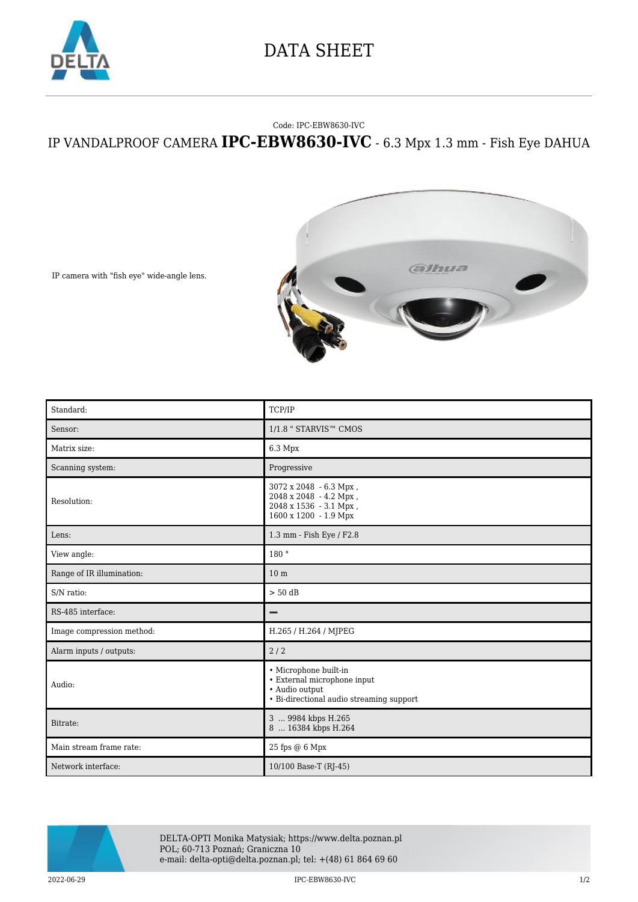

## DATA SHEET

## Code: IPC-EBW8630-IVC

## IP VANDALPROOF CAMERA **IPC-EBW8630-IVC** - 6.3 Mpx 1.3 mm - Fish Eye DAHUA



IP camera with "fish eye" wide-angle lens.

| Standard:                 | TCP/IP                                                                                                             |
|---------------------------|--------------------------------------------------------------------------------------------------------------------|
| Sensor:                   | 1/1.8 " STARVIS™ CMOS                                                                                              |
| Matrix size:              | 6.3 Mpx                                                                                                            |
| Scanning system:          | Progressive                                                                                                        |
| Resolution:               | 3072 x 2048 - 6.3 Mpx,<br>2048 x 2048 - 4.2 Mpx,<br>2048 x 1536 - 3.1 Mpx,<br>1600 x 1200 - 1.9 Mpx                |
| Lens:                     | 1.3 mm - Fish Eye / F2.8                                                                                           |
| View angle:               | 180°                                                                                                               |
| Range of IR illumination: | 10 <sub>m</sub>                                                                                                    |
| S/N ratio:                | $> 50$ dB                                                                                                          |
| RS-485 interface:         | -                                                                                                                  |
| Image compression method: | H.265 / H.264 / MJPEG                                                                                              |
| Alarm inputs / outputs:   | 2/2                                                                                                                |
| Audio:                    | • Microphone built-in<br>• External microphone input<br>· Audio output<br>• Bi-directional audio streaming support |
| Bitrate:                  | 3  9984 kbps H.265<br>8  16384 kbps H.264                                                                          |
| Main stream frame rate:   | 25 fps @ 6 Mpx                                                                                                     |
| Network interface:        | 10/100 Base-T (RJ-45)                                                                                              |



DELTA-OPTI Monika Matysiak; https://www.delta.poznan.pl POL; 60-713 Poznań; Graniczna 10 e-mail: delta-opti@delta.poznan.pl; tel: +(48) 61 864 69 60